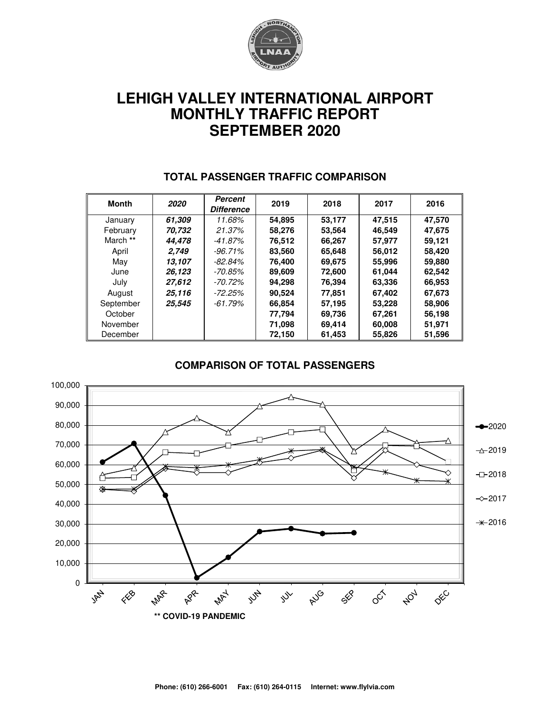

# **LEHIGH VALLEY INTERNATIONAL AIRPORT MONTHLY TRAFFIC REPORT SEPTEMBER 2020**

| Month     | 2020   | Percent<br><b>Difference</b> | 2019   | 2018   | 2017   | 2016   |
|-----------|--------|------------------------------|--------|--------|--------|--------|
| January   | 61.309 | 11.68%                       | 54,895 | 53,177 | 47,515 | 47,570 |
| February  | 70.732 | 21.37%                       | 58.276 | 53.564 | 46.549 | 47.675 |
| March **  | 44.478 | -41.87%                      | 76,512 | 66,267 | 57,977 | 59.121 |
| April     | 2.749  | $-96.71\%$                   | 83,560 | 65,648 | 56,012 | 58,420 |
| May       | 13.107 | $-82.84%$                    | 76.400 | 69.675 | 55,996 | 59,880 |
| June      | 26,123 | -70.85%                      | 89,609 | 72,600 | 61,044 | 62,542 |
| July      | 27,612 | -70.72%                      | 94.298 | 76,394 | 63,336 | 66,953 |
| August    | 25,116 | $-72.25%$                    | 90,524 | 77.851 | 67,402 | 67,673 |
| September | 25.545 | -61.79%                      | 66.854 | 57.195 | 53,228 | 58,906 |
| October   |        |                              | 77,794 | 69,736 | 67,261 | 56,198 |
| November  |        |                              | 71,098 | 69,414 | 60,008 | 51,971 |
| December  |        |                              | 72,150 | 61,453 | 55,826 | 51,596 |

#### **TOTAL PASSENGER TRAFFIC COMPARISON**

#### **COMPARISON OF TOTAL PASSENGERS**

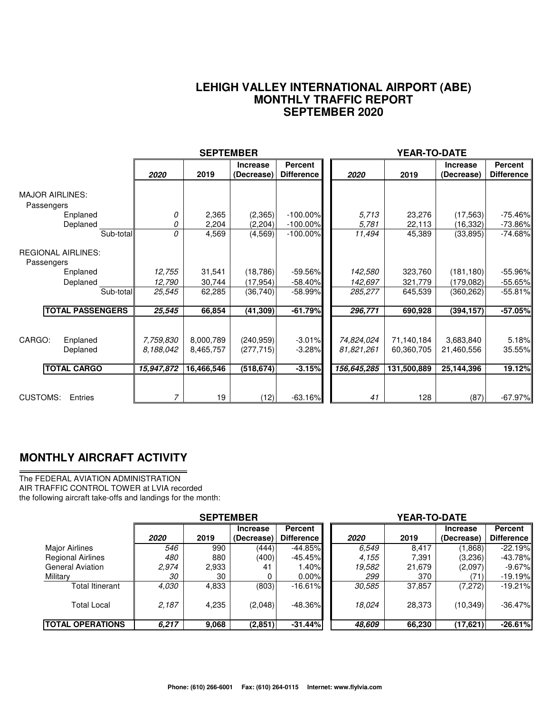#### **LEHIGH VALLEY INTERNATIONAL AIRPORT (ABE) MONTHLY TRAFFIC REPORT SEPTEMBER 2020**

|                                                      |                                      | <b>SEPTEMBER</b>                     |                                        |                                  |                                         | <b>YEAR-TO-DATE</b>                     |                                       |                                     |
|------------------------------------------------------|--------------------------------------|--------------------------------------|----------------------------------------|----------------------------------|-----------------------------------------|-----------------------------------------|---------------------------------------|-------------------------------------|
|                                                      | 2020                                 | 2019                                 | <b>Increase</b><br>(Decrease)          | Percent<br><b>Difference</b>     | 2020                                    | 2019                                    | <b>Increase</b><br>(Decrease)         | <b>Percent</b><br><b>Difference</b> |
| <b>MAJOR AIRLINES:</b><br>Passengers                 |                                      |                                      |                                        |                                  |                                         |                                         |                                       |                                     |
| Enplaned<br>Deplaned                                 | 0<br>0                               | 2,365<br>2,204                       | (2,365)<br>(2,204)                     | $-100.00\%$<br>$-100.00\%$       | 5.713<br>5,781                          | 23,276<br>22,113                        | (17, 563)<br>(16, 332)                | $-75.46%$<br>$-73.86\%$             |
| Sub-total                                            | 0                                    | 4,569                                | (4, 569)                               | $-100.00\%$                      | 11,494                                  | 45,389                                  | (33, 895)                             | $-74.68%$                           |
| <b>REGIONAL AIRLINES:</b><br>Passengers              |                                      |                                      |                                        |                                  |                                         |                                         |                                       |                                     |
| Enplaned                                             | 12,755                               | 31,541                               | (18, 786)                              | $-59.56\%$                       | 142,580                                 | 323,760                                 | (181, 180)                            | $-55.96%$                           |
| Deplaned                                             | 12,790                               | 30,744                               | (17, 954)                              | $-58.40%$                        | 142,697                                 | 321,779                                 | (179,082)                             | $-55.65%$                           |
| Sub-total                                            | 25,545                               | 62,285                               | (36, 740)                              | $-58.99%$                        | 285,277                                 | 645,539                                 | (360, 262)                            | $-55.81%$                           |
| <b>TOTAL PASSENGERS</b>                              | 25,545                               | 66,854                               | (41, 309)                              | $-61.79%$                        | 296,771                                 | 690,928                                 | (394, 157)                            | $-57.05%$                           |
| CARGO:<br>Enplaned<br>Deplaned<br><b>TOTAL CARGO</b> | 7,759,830<br>8.188.042<br>15,947,872 | 8,000,789<br>8,465,757<br>16,466,546 | (240, 959)<br>(277, 715)<br>(518, 674) | $-3.01%$<br>$-3.28%$<br>$-3.15%$ | 74,824,024<br>81,821,261<br>156,645,285 | 71,140,184<br>60,360,705<br>131,500,889 | 3,683,840<br>21,460,556<br>25,144,396 | 5.18%<br>35.55%<br>19.12%           |
| <b>CUSTOMS:</b><br>Entries                           | 7                                    | 19                                   | (12)                                   | $-63.16%$                        | 41                                      | 128                                     | (87)                                  | $-67.97\%$                          |

### **MONTHLY AIRCRAFT ACTIVITY**

The FEDERAL AVIATION ADMINISTRATION AIR TRAFFIC CONTROL TOWER at LVIA recorded the following aircraft take-offs and landings for the month:

|                          | <b>SEPTEMBER</b> |       |                               |                                     | <b>YEAR-TO-DATE</b> |        |                               |                              |  |  |
|--------------------------|------------------|-------|-------------------------------|-------------------------------------|---------------------|--------|-------------------------------|------------------------------|--|--|
|                          | 2020             | 2019  | <b>Increase</b><br>(Decrease) | <b>Percent</b><br><b>Difference</b> | 2020                | 2019   | <b>Increase</b><br>(Decrease) | Percent<br><b>Difference</b> |  |  |
| <b>Major Airlines</b>    | 546              | 990   | (444)                         | $-44.85%$                           | 6.549               | 8.417  | (1,868)                       | $-22.19%$                    |  |  |
| <b>Regional Airlines</b> | 480              | 880   | (400)                         | $-45.45\%$                          | 4,155               | 7.391  | (3,236)                       | $-43.78%$                    |  |  |
| <b>General Aviation</b>  | 2,974            | 2,933 | 41                            | 1.40%                               | 19,582              | 21,679 | (2,097)                       | $-9.67\%$                    |  |  |
| Military                 | 30               | 30    |                               | 0.00%                               | 299                 | 370    | (71)                          | $-19.19%$                    |  |  |
| Total Itinerant          | 4.030            | 4,833 | (803)                         | $-16.61\%$                          | 30,585              | 37,857 | (7,272)                       | $-19.21%$                    |  |  |
| <b>Total Local</b>       | 2,187            | 4,235 | (2,048)                       | $-48.36\%$                          | 18.024              | 28.373 | (10, 349)                     | $-36.47%$                    |  |  |
| <b>ITOTAL OPERATIONS</b> | 6,217            | 9,068 | (2,851)                       | $-31.44%$                           | 48.609              | 66,230 | (17, 621)                     | $-26.61%$                    |  |  |